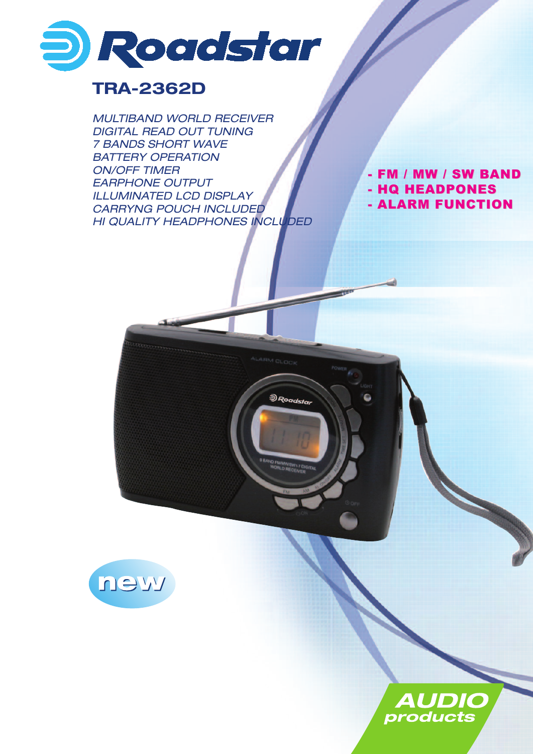

## **TRA-2362D**

*MULTIBAND WORLD RECEIVER DIGITAL READ OUT TUNING 7 BANDS SHORT WAVE BATTERY OPERATION ON/OFF TIMER EARPHONE OUTPUT ILLUMINATED LCD DISPLAY CARRYNG POUCH INCLUDED HI QUALITY HEADPHONES INCLUDED*

.<br>මි Roadstar

- FM / MW / SW BAND - HQ HEADPONES - ALARM FUNCTION